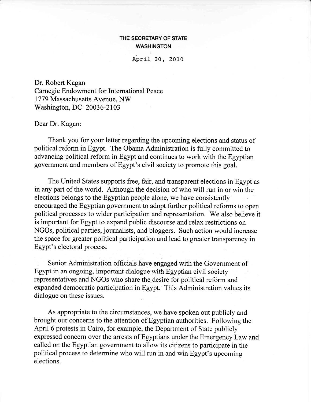## THE SECRETARY OF STATE WASHINGTON

April 20, 2010

Dr. Robert Kagan Carnegie Endowment for International Peace 1779 Massachusetts Avenue, NW Washington, DC 20036-2103

## Dear Dr. Kagan:

Thank you for your letter regarding the upcoming elections and status of political reform in Egypt. The Obama Administration is fully committed to advancing political reform in Egypt and continues to work with the Egyptian government and members of Egypt's civil society to promote this goal.

The United States supports free, fair, and transparent elections in Egypt as in any part of the world. Although the decision of who will run in or win the elections belongs to the Egyptian people alone, we have consistently encouraged the Egyptian govemment to adopt further political reforms to open political processes to wider participation and representation. We also believe it is important for Egypt to expand public discourse and relax restrictions on NGOs, political parties, journalists, and bloggers. Such action would increase the space for greater political participation and lead to greater transparency in Egypt's electoral process.

Senior Administration officials have engaged with the Government of Egypt in an ongoing, important dialogue with Egyptian civil society representatives and NGOs who share the desire for political reform and expanded democratic participation in Fgypt. This Administration values its dialogue on these issues.

As appropriate to the circumstances, we have spoken out publicly and brought our concerns to the attention of Egyptian authorities. Following the April 6 protests in Cairo, for example, the Department of State publicly expressed concern over the arrests of Egyptians under the Emergency Law and called on the Egyptian government to allow its citizens to participate in the political process to determine who will run in and win Egypt's upcoming elections.